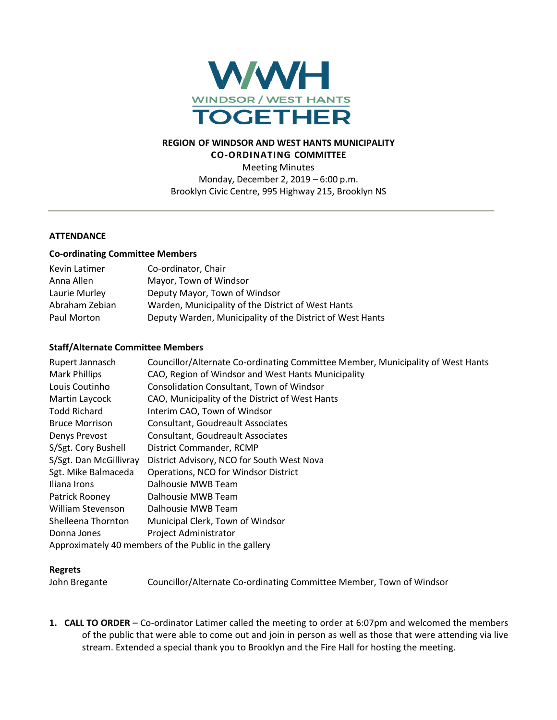

# **REGION OF WINDSOR AND WEST HANTS MUNICIPALITY CO-ORDINATING COMMITTEE**

Meeting Minutes Monday, December 2, 2019 – 6:00 p.m. Brooklyn Civic Centre, 995 Highway 215, Brooklyn NS

## **ATTENDANCE**

#### **Co-ordinating Committee Members**

| Kevin Latimer  | Co-ordinator, Chair                                       |
|----------------|-----------------------------------------------------------|
| Anna Allen     | Mayor, Town of Windsor                                    |
| Laurie Murley  | Deputy Mayor, Town of Windsor                             |
| Abraham Zebian | Warden, Municipality of the District of West Hants        |
| Paul Morton    | Deputy Warden, Municipality of the District of West Hants |

### **Staff/Alternate Committee Members**

| Rupert Jannasch<br><b>Mark Phillips</b>               | Councillor/Alternate Co-ordinating Committee Member, Municipality of West Hants<br>CAO, Region of Windsor and West Hants Municipality |  |
|-------------------------------------------------------|---------------------------------------------------------------------------------------------------------------------------------------|--|
| Louis Coutinho                                        | <b>Consolidation Consultant, Town of Windsor</b>                                                                                      |  |
| Martin Laycock                                        | CAO, Municipality of the District of West Hants                                                                                       |  |
| <b>Todd Richard</b>                                   | Interim CAO, Town of Windsor                                                                                                          |  |
| <b>Bruce Morrison</b>                                 | <b>Consultant, Goudreault Associates</b>                                                                                              |  |
| Denys Prevost                                         | Consultant, Goudreault Associates                                                                                                     |  |
| S/Sgt. Cory Bushell                                   | District Commander, RCMP                                                                                                              |  |
| S/Sgt. Dan McGillivray                                | District Advisory, NCO for South West Nova                                                                                            |  |
| Sgt. Mike Balmaceda                                   | Operations, NCO for Windsor District                                                                                                  |  |
| Iliana Irons                                          | Dalhousie MWB Team                                                                                                                    |  |
| Patrick Rooney                                        | Dalhousie MWB Team                                                                                                                    |  |
| William Stevenson                                     | Dalhousie MWB Team                                                                                                                    |  |
| Shelleena Thornton                                    | Municipal Clerk, Town of Windsor                                                                                                      |  |
| Donna Jones                                           | Project Administrator                                                                                                                 |  |
| Approximately 40 members of the Public in the gallery |                                                                                                                                       |  |

### **Regrets**

John Bregante Councillor/Alternate Co-ordinating Committee Member, Town of Windsor

**1. CALL TO ORDER** – Co-ordinator Latimer called the meeting to order at 6:07pm and welcomed the members of the public that were able to come out and join in person as well as those that were attending via live stream. Extended a special thank you to Brooklyn and the Fire Hall for hosting the meeting.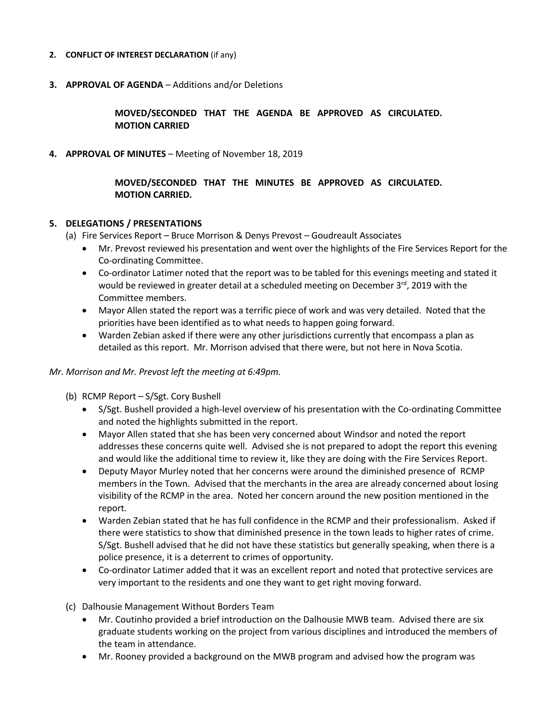### **2. CONFLICT OF INTEREST DECLARATION** (if any)

**3. APPROVAL OF AGENDA** – Additions and/or Deletions

**MOVED/SECONDED THAT THE AGENDA BE APPROVED AS CIRCULATED. MOTION CARRIED**

**4. APPROVAL OF MINUTES** – Meeting of November 18, 2019

**MOVED/SECONDED THAT THE MINUTES BE APPROVED AS CIRCULATED. MOTION CARRIED.**

## **5. DELEGATIONS / PRESENTATIONS**

(a) Fire Services Report – Bruce Morrison & Denys Prevost – Goudreault Associates

- Mr. Prevost reviewed his presentation and went over the highlights of the Fire Services Report for the Co-ordinating Committee.
- Co-ordinator Latimer noted that the report was to be tabled for this evenings meeting and stated it would be reviewed in greater detail at a scheduled meeting on December  $3<sup>rd</sup>$ , 2019 with the Committee members.
- Mayor Allen stated the report was a terrific piece of work and was very detailed. Noted that the priorities have been identified as to what needs to happen going forward.
- Warden Zebian asked if there were any other jurisdictions currently that encompass a plan as detailed as this report. Mr. Morrison advised that there were, but not here in Nova Scotia.

#### *Mr. Morrison and Mr. Prevost left the meeting at 6:49pm.*

- (b) RCMP Report S/Sgt. Cory Bushell
	- S/Sgt. Bushell provided a high-level overview of his presentation with the Co-ordinating Committee and noted the highlights submitted in the report.
	- Mayor Allen stated that she has been very concerned about Windsor and noted the report addresses these concerns quite well. Advised she is not prepared to adopt the report this evening and would like the additional time to review it, like they are doing with the Fire Services Report.
	- Deputy Mayor Murley noted that her concerns were around the diminished presence of RCMP members in the Town. Advised that the merchants in the area are already concerned about losing visibility of the RCMP in the area. Noted her concern around the new position mentioned in the report.
	- Warden Zebian stated that he has full confidence in the RCMP and their professionalism. Asked if there were statistics to show that diminished presence in the town leads to higher rates of crime. S/Sgt. Bushell advised that he did not have these statistics but generally speaking, when there is a police presence, it is a deterrent to crimes of opportunity.
	- Co-ordinator Latimer added that it was an excellent report and noted that protective services are very important to the residents and one they want to get right moving forward.
- (c) Dalhousie Management Without Borders Team
	- Mr. Coutinho provided a brief introduction on the Dalhousie MWB team. Advised there are six graduate students working on the project from various disciplines and introduced the members of the team in attendance.
	- Mr. Rooney provided a background on the MWB program and advised how the program was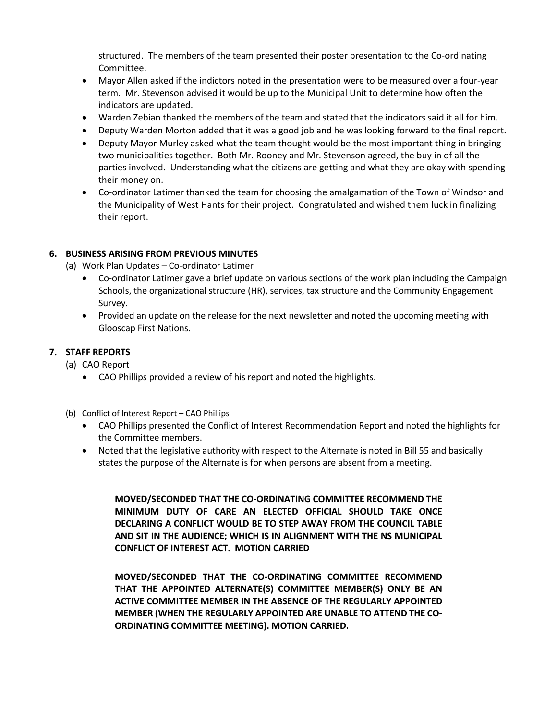structured. The members of the team presented their poster presentation to the Co-ordinating Committee.

- Mayor Allen asked if the indictors noted in the presentation were to be measured over a four-year term. Mr. Stevenson advised it would be up to the Municipal Unit to determine how often the indicators are updated.
- Warden Zebian thanked the members of the team and stated that the indicators said it all for him.
- Deputy Warden Morton added that it was a good job and he was looking forward to the final report.
- Deputy Mayor Murley asked what the team thought would be the most important thing in bringing two municipalities together. Both Mr. Rooney and Mr. Stevenson agreed, the buy in of all the parties involved. Understanding what the citizens are getting and what they are okay with spending their money on.
- Co-ordinator Latimer thanked the team for choosing the amalgamation of the Town of Windsor and the Municipality of West Hants for their project. Congratulated and wished them luck in finalizing their report.

# **6. BUSINESS ARISING FROM PREVIOUS MINUTES**

(a) Work Plan Updates – Co-ordinator Latimer

- Co-ordinator Latimer gave a brief update on various sections of the work plan including the Campaign Schools, the organizational structure (HR), services, tax structure and the Community Engagement Survey.
- Provided an update on the release for the next newsletter and noted the upcoming meeting with Glooscap First Nations.

# **7. STAFF REPORTS**

- (a) CAO Report
	- CAO Phillips provided a review of his report and noted the highlights.
- (b) Conflict of Interest Report CAO Phillips
	- CAO Phillips presented the Conflict of Interest Recommendation Report and noted the highlights for the Committee members.
	- Noted that the legislative authority with respect to the Alternate is noted in Bill 55 and basically states the purpose of the Alternate is for when persons are absent from a meeting.

**MOVED/SECONDED THAT THE CO-ORDINATING COMMITTEE RECOMMEND THE MINIMUM DUTY OF CARE AN ELECTED OFFICIAL SHOULD TAKE ONCE DECLARING A CONFLICT WOULD BE TO STEP AWAY FROM THE COUNCIL TABLE AND SIT IN THE AUDIENCE; WHICH IS IN ALIGNMENT WITH THE NS MUNICIPAL CONFLICT OF INTEREST ACT. MOTION CARRIED**

**MOVED/SECONDED THAT THE CO-ORDINATING COMMITTEE RECOMMEND THAT THE APPOINTED ALTERNATE(S) COMMITTEE MEMBER(S) ONLY BE AN ACTIVE COMMITTEE MEMBER IN THE ABSENCE OF THE REGULARLY APPOINTED MEMBER (WHEN THE REGULARLY APPOINTED ARE UNABLE TO ATTEND THE CO-ORDINATING COMMITTEE MEETING). MOTION CARRIED.**